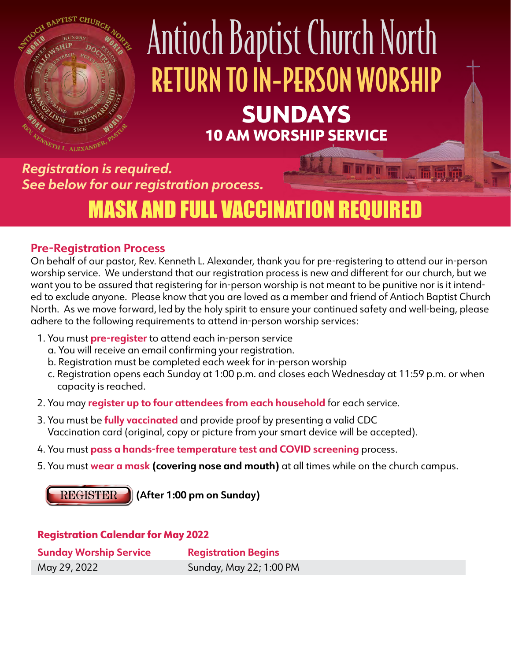

# Antioch Baptist Church North RETURN TO IN-PERSON WORSHIP SUNDAYS 10 AM WORSHIP SERVICE

*Registration is required. See below for our registration process.*

## MASK AND FULL VACCINATION REQUIRED

#### **Pre-Registration Process**

On behalf of our pastor, Rev. Kenneth L. Alexander, thank you for pre-registering to attend our in-person worship service. We understand that our registration process is new and different for our church, but we want you to be assured that registering for in-person worship is not meant to be punitive nor is it intended to exclude anyone. Please know that you are loved as a member and friend of Antioch Baptist Church North. As we move forward, led by the holy spirit to ensure your continued safety and well-being, please adhere to the following requirements to attend in-person worship services:

- 1. You must **pre-register** to attend each in-person service
	- a. You will receive an email confirming your registration.
	- b. Registration must be completed each week for in-person worship
	- c. Registration opens each Sunday at 1:00 p.m. and closes each Wednesday at 11:59 p.m. or when capacity is reached.
- 2. You may **register up to four attendees from each household** for each service.
- 3. You must be **fully vaccinated** and provide proof by presenting a valid CDC Vaccination card (original, copy or picture from your smart device will be accepted).
- 4. You must **pass a hands-free temperature test and COVID screening** process.
- 5. You must **wear a mask (covering nose and mouth)** at all times while on the church campus.

**REGISTER (After 1:00 pm on Sunday)**

#### Registration Calendar for May 2022

| <b>Sunday Worship Service</b> | <b>Registration Begins</b> |
|-------------------------------|----------------------------|
| May 29, 2022                  | Sunday, May 22; 1:00 PM    |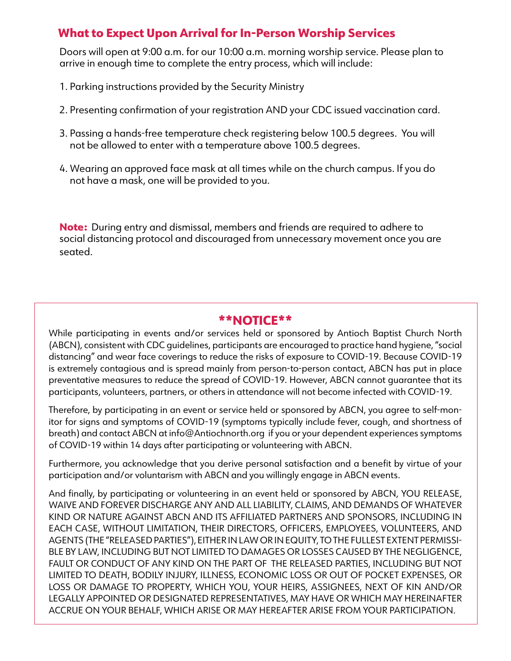#### What to Expect Upon Arrival for In-Person Worship Services

Doors will open at 9:00 a.m. for our 10:00 a.m. morning worship service. Please plan to arrive in enough time to complete the entry process, which will include:

- 1. Parking instructions provided by the Security Ministry
- 2. Presenting confirmation of your registration AND your CDC issued vaccination card.
- 3. Passing a hands-free temperature check registering below 100.5 degrees. You will not be allowed to enter with a temperature above 100.5 degrees.
- 4. Wearing an approved face mask at all times while on the church campus. If you do not have a mask, one will be provided to you.

Note: During entry and dismissal, members and friends are required to adhere to social distancing protocol and discouraged from unnecessary movement once you are seated.

#### \*\*NOTICE\*\*

While participating in events and/or services held or sponsored by Antioch Baptist Church North (ABCN), consistent with CDC guidelines, participants are encouraged to practice hand hygiene, "social distancing" and wear face coverings to reduce the risks of exposure to COVID-19. Because COVID-19 is extremely contagious and is spread mainly from person-to-person contact, ABCN has put in place preventative measures to reduce the spread of COVID-19. However, ABCN cannot guarantee that its participants, volunteers, partners, or others in attendance will not become infected with COVID-19.

Therefore, by participating in an event or service held or sponsored by ABCN, you agree to self-monitor for signs and symptoms of COVID-19 (symptoms typically include fever, cough, and shortness of breath) and contact ABCN at info@Antiochnorth.org if you or your dependent experiences symptoms of COVID-19 within 14 days after participating or volunteering with ABCN.

Furthermore, you acknowledge that you derive personal satisfaction and a benefit by virtue of your participation and/or voluntarism with ABCN and you willingly engage in ABCN events.

And finally, by participating or volunteering in an event held or sponsored by ABCN, YOU RELEASE, WAIVE AND FOREVER DISCHARGE ANY AND ALL LIABILITY, CLAIMS, AND DEMANDS OF WHATEVER KIND OR NATURE AGAINST ABCN AND ITS AFFILIATED PARTNERS AND SPONSORS, INCLUDING IN EACH CASE, WITHOUT LIMITATION, THEIR DIRECTORS, OFFICERS, EMPLOYEES, VOLUNTEERS, AND AGENTS (THE "RELEASED PARTIES"), EITHER IN LAW OR IN EQUITY, TO THE FULLEST EXTENT PERMISSI-BLE BY LAW, INCLUDING BUT NOT LIMITED TO DAMAGES OR LOSSES CAUSED BY THE NEGLIGENCE, FAULT OR CONDUCT OF ANY KIND ON THE PART OF THE RELEASED PARTIES, INCLUDING BUT NOT LIMITED TO DEATH, BODILY INJURY, ILLNESS, ECONOMIC LOSS OR OUT OF POCKET EXPENSES, OR LOSS OR DAMAGE TO PROPERTY, WHICH YOU, YOUR HEIRS, ASSIGNEES, NEXT OF KIN AND/OR LEGALLY APPOINTED OR DESIGNATED REPRESENTATIVES, MAY HAVE OR WHICH MAY HEREINAFTER ACCRUE ON YOUR BEHALF, WHICH ARISE OR MAY HEREAFTER ARISE FROM YOUR PARTICIPATION.